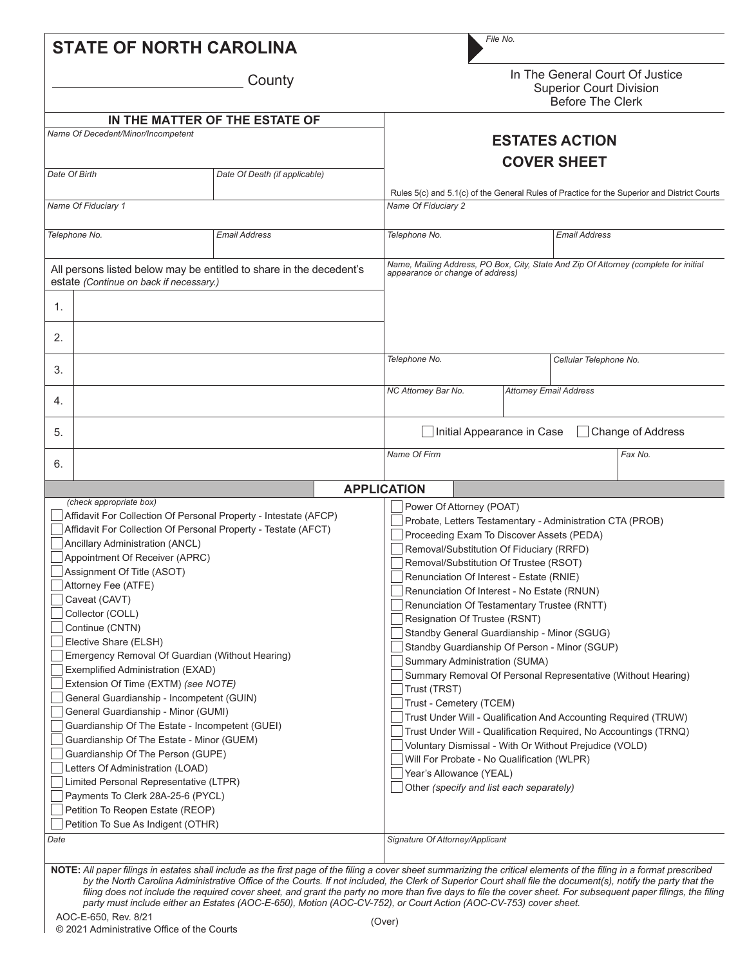| File No.<br><b>STATE OF NORTH CAROLINA</b>                                                                                                                                                                                                                                                                                                                                                                                                                                                                                                                                                                                                                                                            |                                |                                                                                                                                                                                                                                                                                                                                                                                                                                                                                                                                                                                                                                                                                                                                                                                                                                                                           |                                                                                             |
|-------------------------------------------------------------------------------------------------------------------------------------------------------------------------------------------------------------------------------------------------------------------------------------------------------------------------------------------------------------------------------------------------------------------------------------------------------------------------------------------------------------------------------------------------------------------------------------------------------------------------------------------------------------------------------------------------------|--------------------------------|---------------------------------------------------------------------------------------------------------------------------------------------------------------------------------------------------------------------------------------------------------------------------------------------------------------------------------------------------------------------------------------------------------------------------------------------------------------------------------------------------------------------------------------------------------------------------------------------------------------------------------------------------------------------------------------------------------------------------------------------------------------------------------------------------------------------------------------------------------------------------|---------------------------------------------------------------------------------------------|
| County                                                                                                                                                                                                                                                                                                                                                                                                                                                                                                                                                                                                                                                                                                |                                | In The General Court Of Justice<br><b>Superior Court Division</b><br>Before The Clerk                                                                                                                                                                                                                                                                                                                                                                                                                                                                                                                                                                                                                                                                                                                                                                                     |                                                                                             |
|                                                                                                                                                                                                                                                                                                                                                                                                                                                                                                                                                                                                                                                                                                       | IN THE MATTER OF THE ESTATE OF |                                                                                                                                                                                                                                                                                                                                                                                                                                                                                                                                                                                                                                                                                                                                                                                                                                                                           |                                                                                             |
| Name Of Decedent/Minor/Incompetent                                                                                                                                                                                                                                                                                                                                                                                                                                                                                                                                                                                                                                                                    |                                |                                                                                                                                                                                                                                                                                                                                                                                                                                                                                                                                                                                                                                                                                                                                                                                                                                                                           | <b>ESTATES ACTION</b>                                                                       |
|                                                                                                                                                                                                                                                                                                                                                                                                                                                                                                                                                                                                                                                                                                       |                                |                                                                                                                                                                                                                                                                                                                                                                                                                                                                                                                                                                                                                                                                                                                                                                                                                                                                           |                                                                                             |
| Date Of Birth                                                                                                                                                                                                                                                                                                                                                                                                                                                                                                                                                                                                                                                                                         | Date Of Death (if applicable)  |                                                                                                                                                                                                                                                                                                                                                                                                                                                                                                                                                                                                                                                                                                                                                                                                                                                                           | <b>COVER SHEET</b>                                                                          |
|                                                                                                                                                                                                                                                                                                                                                                                                                                                                                                                                                                                                                                                                                                       |                                |                                                                                                                                                                                                                                                                                                                                                                                                                                                                                                                                                                                                                                                                                                                                                                                                                                                                           | Rules 5(c) and 5.1(c) of the General Rules of Practice for the Superior and District Courts |
| Name Of Fiduciary 1                                                                                                                                                                                                                                                                                                                                                                                                                                                                                                                                                                                                                                                                                   |                                | Name Of Fiduciary 2                                                                                                                                                                                                                                                                                                                                                                                                                                                                                                                                                                                                                                                                                                                                                                                                                                                       |                                                                                             |
|                                                                                                                                                                                                                                                                                                                                                                                                                                                                                                                                                                                                                                                                                                       |                                |                                                                                                                                                                                                                                                                                                                                                                                                                                                                                                                                                                                                                                                                                                                                                                                                                                                                           |                                                                                             |
| Telephone No.                                                                                                                                                                                                                                                                                                                                                                                                                                                                                                                                                                                                                                                                                         | <b>Email Address</b>           | Telephone No.                                                                                                                                                                                                                                                                                                                                                                                                                                                                                                                                                                                                                                                                                                                                                                                                                                                             | <b>Email Address</b>                                                                        |
| All persons listed below may be entitled to share in the decedent's<br>estate (Continue on back if necessary.)                                                                                                                                                                                                                                                                                                                                                                                                                                                                                                                                                                                        |                                | Name, Mailing Address, PO Box, City, State And Zip Of Attorney (complete for initial<br>appearance or change of address)                                                                                                                                                                                                                                                                                                                                                                                                                                                                                                                                                                                                                                                                                                                                                  |                                                                                             |
| 1.                                                                                                                                                                                                                                                                                                                                                                                                                                                                                                                                                                                                                                                                                                    |                                |                                                                                                                                                                                                                                                                                                                                                                                                                                                                                                                                                                                                                                                                                                                                                                                                                                                                           |                                                                                             |
| 2.                                                                                                                                                                                                                                                                                                                                                                                                                                                                                                                                                                                                                                                                                                    |                                |                                                                                                                                                                                                                                                                                                                                                                                                                                                                                                                                                                                                                                                                                                                                                                                                                                                                           |                                                                                             |
| 3.                                                                                                                                                                                                                                                                                                                                                                                                                                                                                                                                                                                                                                                                                                    |                                | Telephone No.                                                                                                                                                                                                                                                                                                                                                                                                                                                                                                                                                                                                                                                                                                                                                                                                                                                             | Cellular Telephone No.                                                                      |
| 4.                                                                                                                                                                                                                                                                                                                                                                                                                                                                                                                                                                                                                                                                                                    |                                | NC Attorney Bar No.                                                                                                                                                                                                                                                                                                                                                                                                                                                                                                                                                                                                                                                                                                                                                                                                                                                       | <b>Attorney Email Address</b>                                                               |
| 5.                                                                                                                                                                                                                                                                                                                                                                                                                                                                                                                                                                                                                                                                                                    |                                | Initial Appearance in Case                                                                                                                                                                                                                                                                                                                                                                                                                                                                                                                                                                                                                                                                                                                                                                                                                                                | Change of Address                                                                           |
| 6.                                                                                                                                                                                                                                                                                                                                                                                                                                                                                                                                                                                                                                                                                                    |                                | Name Of Firm                                                                                                                                                                                                                                                                                                                                                                                                                                                                                                                                                                                                                                                                                                                                                                                                                                                              | Fax No.                                                                                     |
|                                                                                                                                                                                                                                                                                                                                                                                                                                                                                                                                                                                                                                                                                                       |                                | <b>APPLICATION</b>                                                                                                                                                                                                                                                                                                                                                                                                                                                                                                                                                                                                                                                                                                                                                                                                                                                        |                                                                                             |
| Affidavit For Collection Of Personal Property - Intestate (AFCP)<br>Affidavit For Collection Of Personal Property - Testate (AFCT)<br>Ancillary Administration (ANCL)<br>Appointment Of Receiver (APRC)<br>Assignment Of Title (ASOT)<br>Attorney Fee (ATFE)<br>Caveat (CAVT)<br>Collector (COLL)<br>Continue (CNTN)<br>Elective Share (ELSH)<br>Emergency Removal Of Guardian (Without Hearing)<br>Exemplified Administration (EXAD)<br>Extension Of Time (EXTM) (see NOTE)<br>General Guardianship - Incompetent (GUIN)<br>General Guardianship - Minor (GUMI)<br>Guardianship Of The Estate - Incompetent (GUEI)<br>Guardianship Of The Estate - Minor (GUEM)<br>Guardianship Of The Person (GUPE) |                                | Probate, Letters Testamentary - Administration CTA (PROB)<br>Proceeding Exam To Discover Assets (PEDA)<br>Removal/Substitution Of Fiduciary (RRFD)<br>Removal/Substitution Of Trustee (RSOT)<br>Renunciation Of Interest - Estate (RNIE)<br>Renunciation Of Interest - No Estate (RNUN)<br>Renunciation Of Testamentary Trustee (RNTT)<br>Resignation Of Trustee (RSNT)<br>Standby General Guardianship - Minor (SGUG)<br>Standby Guardianship Of Person - Minor (SGUP)<br><b>Summary Administration (SUMA)</b><br>Summary Removal Of Personal Representative (Without Hearing)<br>Trust (TRST)<br>Trust - Cemetery (TCEM)<br>Trust Under Will - Qualification And Accounting Required (TRUW)<br>Trust Under Will - Qualification Required, No Accountings (TRNQ)<br>Voluntary Dismissal - With Or Without Prejudice (VOLD)<br>Will For Probate - No Qualification (WLPR) |                                                                                             |
| Letters Of Administration (LOAD)<br>Limited Personal Representative (LTPR)<br>Payments To Clerk 28A-25-6 (PYCL)<br>Petition To Reopen Estate (REOP)<br>Petition To Sue As Indigent (OTHR)                                                                                                                                                                                                                                                                                                                                                                                                                                                                                                             |                                | Year's Allowance (YEAL)<br>Other (specify and list each separately)                                                                                                                                                                                                                                                                                                                                                                                                                                                                                                                                                                                                                                                                                                                                                                                                       |                                                                                             |
| Date                                                                                                                                                                                                                                                                                                                                                                                                                                                                                                                                                                                                                                                                                                  |                                | Signature Of Attorney/Applicant                                                                                                                                                                                                                                                                                                                                                                                                                                                                                                                                                                                                                                                                                                                                                                                                                                           |                                                                                             |
| NOTE: All paper filings in estates shall include as the first page of the filing a cover sheet summarizing the critical elements of the filing in a format prescribed<br>by the North Carolina Administrative Office of the Courts. If not included, the Clerk of Superior Court shall file the document(s), notify the party that the<br>filing does not include the required cover sheet, and grant the party no more than five days to file the cover sheet. For subsequent paper filings, the filing<br>party must include either an Estates (AOC-E-650), Motion (AOC-CV-752), or Court Action (AOC-CV-753) cover sheet.                                                                          |                                |                                                                                                                                                                                                                                                                                                                                                                                                                                                                                                                                                                                                                                                                                                                                                                                                                                                                           |                                                                                             |

© 2021 Administrative Office of the Courts